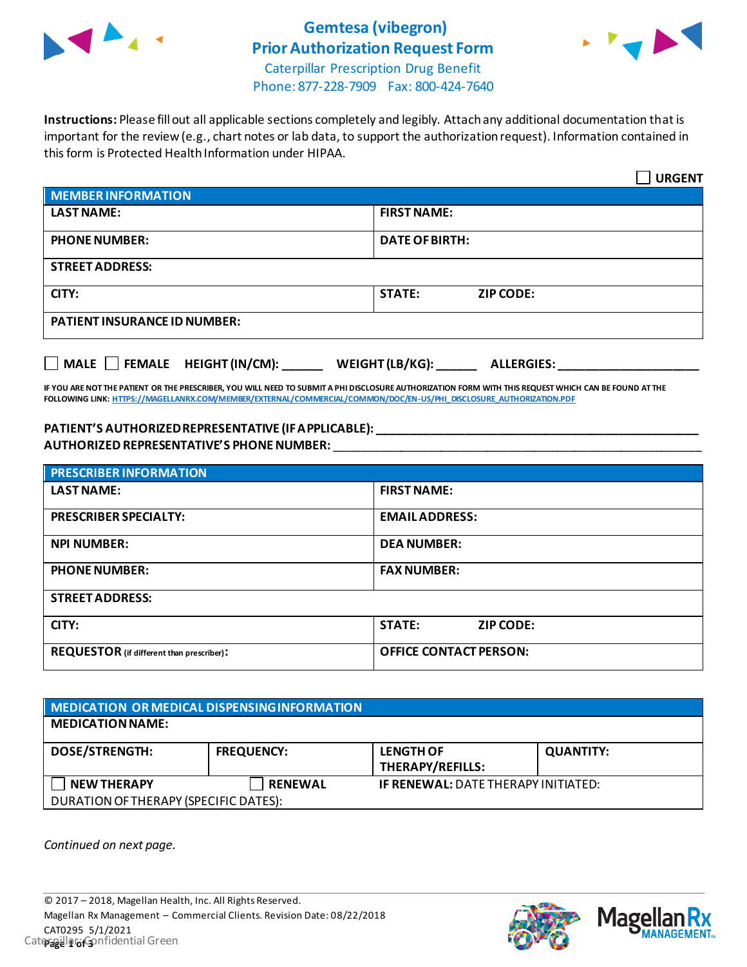

## **Gemtesa (vibegron) Prior Authorization Request Form**



Caterpillar Prescription Drug Benefit Phone: 877-228-7909 Fax: 800-424-7640

**Instructions:** Please fill out all applicable sections completely and legibly. Attach any additional documentation that is important for the review (e.g., chart notes or lab data, to support the authorization request). Information contained in this form is Protected Health Information under HIPAA.

|                                           | <b>URGENT</b>                        |  |
|-------------------------------------------|--------------------------------------|--|
| <b>MEMBER INFORMATION</b>                 |                                      |  |
| <b>LAST NAME:</b>                         | <b>FIRST NAME:</b>                   |  |
| <b>PHONE NUMBER:</b>                      | <b>DATE OF BIRTH:</b>                |  |
| <b>STREET ADDRESS:</b>                    |                                      |  |
| CITY:                                     | <b>STATE:</b><br><b>ZIP CODE:</b>    |  |
| <b>PATIENT INSURANCE ID NUMBER:</b>       |                                      |  |
| $\Box$ MALE $\Box$ FEMALE HEIGHT (IN/CM): | WEIGHT (LB/KG):<br><b>ALLERGIES:</b> |  |

**IF YOU ARE NOT THE PATIENT OR THE PRESCRIBER, YOU WILL NEED TO SUBMIT A PHI DISCLOSURE AUTHORIZATION FORM WITH THIS REQUEST WHICH CAN BE FOUND AT THE FOLLOWING LINK[: HTTPS://MAGELLANRX.COM/MEMBER/EXTERNAL/COMMERCIAL/COMMON/DOC/EN-US/PHI\\_DISCLOSURE\\_AUTHORIZATION.PDF](https://magellanrx.com/member/external/commercial/common/doc/en-us/PHI_Disclosure_Authorization.pdf)**

#### **PATIENT'S AUTHORIZED REPRESENTATIVE (IF APPLICABLE): \_\_\_\_\_\_\_\_\_\_\_\_\_\_\_\_\_\_\_\_\_\_\_\_\_\_\_\_\_\_\_\_\_\_\_\_\_\_\_\_\_\_\_\_\_\_\_\_ AUTHORIZED REPRESENTATIVE'S PHONE NUMBER:** \_\_\_\_\_\_\_\_\_\_\_\_\_\_\_\_\_\_\_\_\_\_\_\_\_\_\_\_\_\_\_\_\_\_\_\_\_\_\_\_\_\_\_\_\_\_\_\_\_\_\_\_\_\_\_

| <b>PRESCRIBER INFORMATION</b>             |                                   |  |
|-------------------------------------------|-----------------------------------|--|
| <b>LAST NAME:</b>                         | <b>FIRST NAME:</b>                |  |
| <b>PRESCRIBER SPECIALTY:</b>              | <b>EMAIL ADDRESS:</b>             |  |
| <b>NPI NUMBER:</b>                        | <b>DEA NUMBER:</b>                |  |
| <b>PHONE NUMBER:</b>                      | <b>FAX NUMBER:</b>                |  |
| <b>STREET ADDRESS:</b>                    |                                   |  |
| CITY:                                     | <b>STATE:</b><br><b>ZIP CODE:</b> |  |
| REQUESTOR (if different than prescriber): | <b>OFFICE CONTACT PERSON:</b>     |  |

| MEDICATION OR MEDICAL DISPENSING INFORMATION |                   |                                             |                  |  |
|----------------------------------------------|-------------------|---------------------------------------------|------------------|--|
| <b>MEDICATION NAME:</b>                      |                   |                                             |                  |  |
| <b>DOSE/STRENGTH:</b>                        | <b>FREQUENCY:</b> | <b>LENGTH OF</b><br><b>THERAPY/REFILLS:</b> | <b>QUANTITY:</b> |  |
| <b>NEW THERAPY</b>                           | <b>RENEWAL</b>    | <b>IF RENEWAL: DATE THERAPY INITIATED:</b>  |                  |  |
| DURATION OF THERAPY (SPECIFIC DATES):        |                   |                                             |                  |  |

*Continued on next page.*



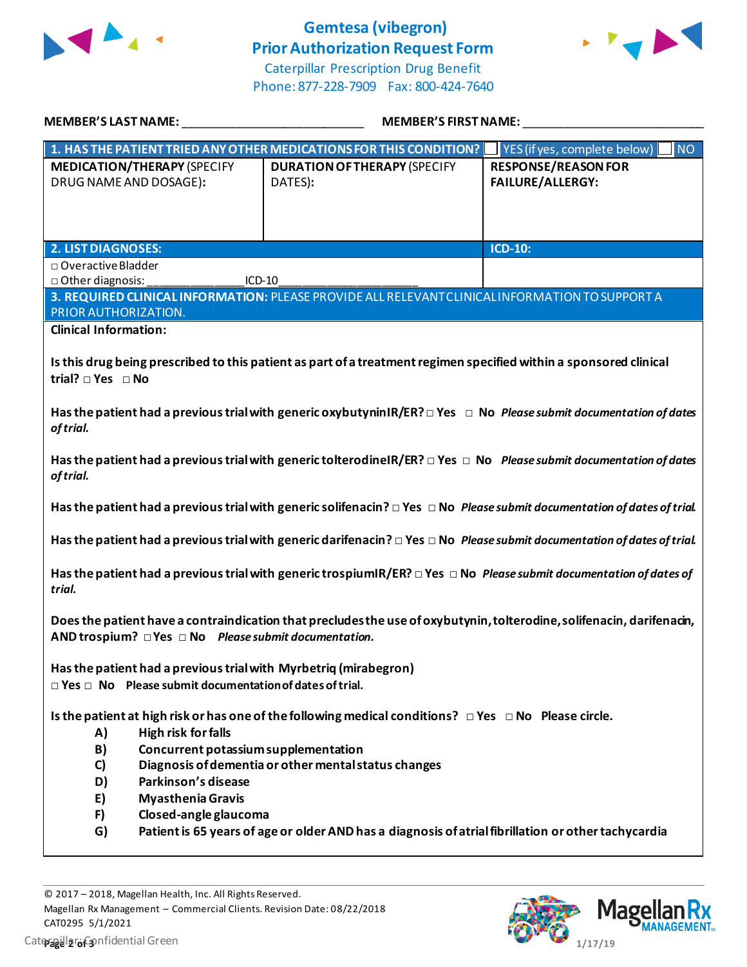

# **Gemtesa (vibegron) Prior Authorization Request Form**



Caterpillar Prescription Drug Benefit Phone: 877-228-7909 Fax: 800-424-7640

| MEMBER'S LAST NAME:                                                 | <b>MEMBER'S FIRST NAME:</b>                                                                                                        |                            |
|---------------------------------------------------------------------|------------------------------------------------------------------------------------------------------------------------------------|----------------------------|
|                                                                     | 1. HAS THE PATIENT TRIED ANY OTHER MEDICATIONS FOR THIS CONDITION?   YES (if yes, complete below)                                  | <b>NO</b>                  |
| <b>MEDICATION/THERAPY (SPECIFY</b>                                  | <b>DURATION OF THERAPY (SPECIFY</b>                                                                                                | <b>RESPONSE/REASON FOR</b> |
| DRUG NAME AND DOSAGE):                                              | DATES):                                                                                                                            | <b>FAILURE/ALLERGY:</b>    |
|                                                                     |                                                                                                                                    |                            |
|                                                                     |                                                                                                                                    |                            |
| <b>2. LIST DIAGNOSES:</b>                                           |                                                                                                                                    | ICD-10:                    |
| □ Overactive Bladder                                                |                                                                                                                                    |                            |
| □ Other diagnosis:<br>ICD-10                                        |                                                                                                                                    |                            |
|                                                                     | 3. REQUIRED CLINICAL INFORMATION: PLEASE PROVIDE ALL RELEVANT CLINICAL INFORMATION TO SUPPORT A                                    |                            |
| PRIOR AUTHORIZATION.                                                |                                                                                                                                    |                            |
| <b>Clinical Information:</b>                                        |                                                                                                                                    |                            |
|                                                                     |                                                                                                                                    |                            |
|                                                                     | Is this drug being prescribed to this patient as part of a treatment regimen specified within a sponsored clinical                 |                            |
| trial? □ Yes □ No                                                   |                                                                                                                                    |                            |
|                                                                     | Has the patient had a previous trial with generic oxybutyninIR/ER? $\Box$ Yes $\Box$ No Please submit documentation of dates       |                            |
| of trial.                                                           |                                                                                                                                    |                            |
|                                                                     |                                                                                                                                    |                            |
|                                                                     | Has the patient had a previous trial with generic tolterodine IR/ER? $\Box$ Yes $\Box$ No Please submit documentation of dates     |                            |
| of trial.                                                           |                                                                                                                                    |                            |
|                                                                     | Has the patient had a previous trial with generic solifenacin? $\Box$ Yes $\Box$ No Please submit documentation of dates of trial. |                            |
|                                                                     |                                                                                                                                    |                            |
|                                                                     | Has the patient had a previous trial with generic darifenacin? $\Box$ Yes $\Box$ No Please submit documentation of dates of trial. |                            |
|                                                                     |                                                                                                                                    |                            |
|                                                                     | Has the patient had a previous trial with generic trospiumIR/ER? $\Box$ Yes $\Box$ No Please submit documentation of dates of      |                            |
| trial.                                                              |                                                                                                                                    |                            |
|                                                                     |                                                                                                                                    |                            |
|                                                                     | Does the patient have a contraindication that precludes the use of oxybutynin, tolterodine, solifenacin, darifenacin,              |                            |
| AND trospium? $\Box$ Yes $\Box$ No Please submit documentation.     |                                                                                                                                    |                            |
| Has the patient had a previous trial with Myrbetriq (mirabegron)    |                                                                                                                                    |                            |
| $\Box$ Yes $\Box$ No Please submit documentation of dates of trial. |                                                                                                                                    |                            |
|                                                                     |                                                                                                                                    |                            |
|                                                                     | Is the patient at high risk or has one of the following medical conditions? $\Box$ Yes $\Box$ No Please circle.                    |                            |
| <b>High risk for falls</b><br>A)                                    |                                                                                                                                    |                            |
| B)<br>Concurrent potassium supplementation                          |                                                                                                                                    |                            |
| C)                                                                  | Diagnosis of dementia or other mental status changes                                                                               |                            |
| Parkinson's disease<br>D)                                           |                                                                                                                                    |                            |
| <b>Myasthenia Gravis</b><br>E)                                      |                                                                                                                                    |                            |
| F)<br>Closed-angle glaucoma                                         |                                                                                                                                    |                            |
| G)                                                                  | Patient is 65 years of age or older AND has a diagnosis of atrial fibrillation or other tachycardia                                |                            |
|                                                                     |                                                                                                                                    |                            |

© 2017 – 2018, Magellan Health, Inc. All Rights Reserved. Magellan Rx Management – Commercial Clients. Revision Date: 08/22/2018 CAT0295 5/1/2021 **Caterpillar: Confidential Green Page 2 of 3 of 3 of 3 of 3 of 3 of 3 of 3 of 3 of 3 of 3 of 3 of 3 of 3 of 3 of 3 of 3 of 3 of 3 of 3 of 3 of 3 of 3 or 3 or 3 or 3 or**